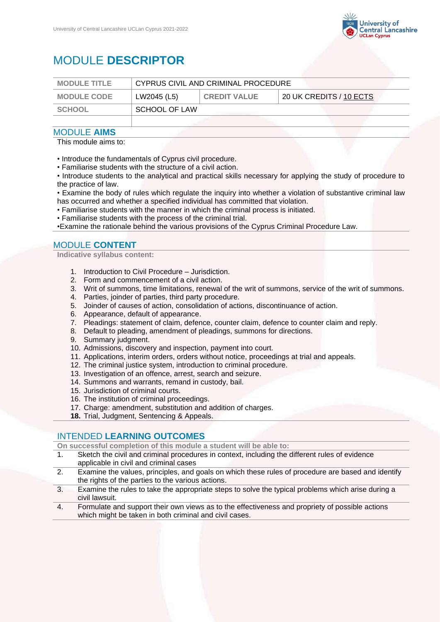

# MODULE **DESCRIPTOR**

| <b>MODULE TITLE</b> | CYPRUS CIVIL AND CRIMINAL PROCEDURE |                     |                         |
|---------------------|-------------------------------------|---------------------|-------------------------|
| <b>MODULE CODE</b>  | LW2045 (L5)                         | <b>CREDIT VALUE</b> | 20 UK CREDITS / 10 ECTS |
| <b>SCHOOL</b>       | SCHOOL OF LAW                       |                     |                         |
|                     |                                     |                     |                         |

### MODULE **AIMS**

This module aims to:

• Introduce the fundamentals of Cyprus civil procedure.

• Familiarise students with the structure of a civil action.

• Introduce students to the analytical and practical skills necessary for applying the study of procedure to the practice of law.

• Examine the body of rules which regulate the inquiry into whether a violation of substantive criminal law has occurred and whether a specified individual has committed that violation.

- Familiarise students with the manner in which the criminal process is initiated.
- Familiarise students with the process of the criminal trial.

•Examine the rationale behind the various provisions of the Cyprus Criminal Procedure Law.

## MODULE **CONTENT**

**Indicative syllabus content:**

- 1. Introduction to Civil Procedure Jurisdiction.
- 2. Form and commencement of a civil action.
- 3. Writ of summons, time limitations, renewal of the writ of summons, service of the writ of summons.
- 4. Parties, joinder of parties, third party procedure.
- 5. Joinder of causes of action, consolidation of actions, discontinuance of action.
- 6. Appearance, default of appearance.<br>7. Pleadings: statement of claim. defen
- Pleadings: statement of claim, defence, counter claim, defence to counter claim and reply.
- 8. Default to pleading, amendment of pleadings, summons for directions.
- 9. Summary judgment.
- 10. Admissions, discovery and inspection, payment into court.
- 11. Applications, interim orders, orders without notice, proceedings at trial and appeals.
- 12. The criminal justice system, introduction to criminal procedure.
- 13. Investigation of an offence, arrest, search and seizure.
- 14. Summons and warrants, remand in custody, bail.
- 15. Jurisdiction of criminal courts.
- 16. The institution of criminal proceedings.
- 17. Charge: amendment, substitution and addition of charges.
- **18.** Trial, Judgment, Sentencing & Appeals.

#### INTENDED **LEARNING OUTCOMES**

**On successful completion of this module a student will be able to:**

- 1. Sketch the civil and criminal procedures in context, including the different rules of evidence applicable in civil and criminal cases
- 2. Examine the values, principles, and goals on which these rules of procedure are based and identify the rights of the parties to the various actions.
- 3. Examine the rules to take the appropriate steps to solve the typical problems which arise during a civil lawsuit.
- 4. Formulate and support their own views as to the effectiveness and propriety of possible actions which might be taken in both criminal and civil cases.